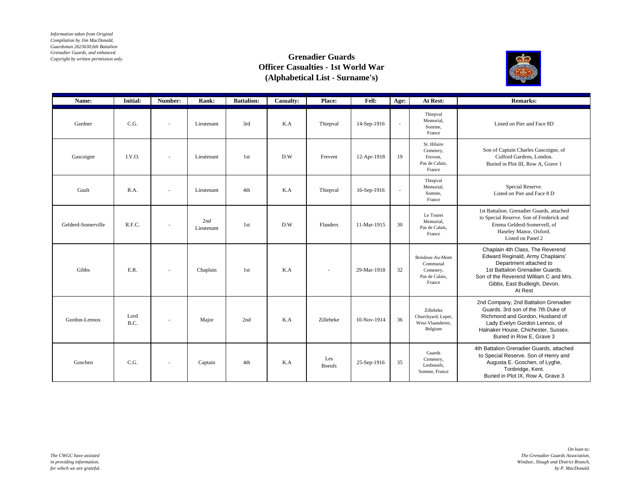*Information taken from Original Compilation by Jim MacDonald, Guardsman 2623630,6th Battalion Grenadier Guards, and enhanced. Copyright by written permission only.*

## **Grenadier Guards Officer Casualties - 1st World War (Alphabetical List - Surname's)**



| Name:              | Initial:     | Number:                  | Rank:             | <b>Battalion:</b> | Casualty: | Place:               | Fell:       | Age: | At Rest:                                                              | <b>Remarks:</b>                                                                                                                                                                                                        |
|--------------------|--------------|--------------------------|-------------------|-------------------|-----------|----------------------|-------------|------|-----------------------------------------------------------------------|------------------------------------------------------------------------------------------------------------------------------------------------------------------------------------------------------------------------|
| Gardner            | C.G.         | $\overline{\phantom{a}}$ | Lieutenant        | 3rd               | K.A       | Thiepval             | 14-Sep-1916 | ×    | Thiepval<br>Memorial,<br>Somme.<br>France                             | Listed on Pier and Face 8D                                                                                                                                                                                             |
| Gascoigne          | I.V.O.       |                          | Lieutenant        | 1st               | D.W       | Frevent              | 12-Apr-1918 | 19   | St. Hilaire<br>Cemetery,<br>Frevent,<br>Pas de Calais,<br>France      | Son of Captain Charles Gascoigne, of<br>Culford Gardens, London.<br>Buried in Plot III, Row A, Grave 1                                                                                                                 |
| Gault              | R.A.         |                          | Lieutenant        | 4th               | K.A       | Thiepval             | 16-Sep-1916 | ×.   | Thiepval<br>Memorial,<br>Somme.<br>France                             | Special Reserve.<br>Listed on Pier and Face 8 D                                                                                                                                                                        |
| Gelderd-Somerville | R.F.C.       |                          | 2nd<br>Lieutenant | 1st               | D.W       | Flanders             | 11-Mar-1915 | 30   | Le Touret<br>Memorial,<br>Pas de Calais,<br>France                    | 1st Battalion. Grenadier Guards, attached<br>to Special Reserve. Son of Frederick and<br>Emma Gelderd-Somervell, of<br>Haseley Manor, Oxford.<br>Listed on Panel 2                                                     |
| Gibbs              | E.R.         |                          | Chaplain          | 1st               | K.A       | $\sim$               | 29-Mar-1918 | 32   | Boisleux-Au-Mont<br>Communal<br>Cemetery,<br>Pas de Calais.<br>France | Chaplain 4th Class, The Reverend<br>Edward Reginald, Army Chaplains'<br>Department attached to<br>1st Battalion Grenadier Guards.<br>Son of the Reverend William C and Mrs.<br>Gibbs, East Budleigh, Devon.<br>At Rest |
| Gordon-Lennox      | Lord<br>B.C. |                          | Major             | 2nd               | K.A       | Zillebeke            | 10-Nov-1914 | 36   | Zillebeke<br>Churchyard, Leper,<br>West-Vlaanderen.<br>Belgium        | 2nd Company, 2nd Battalion Grenadier<br>Guards, 3rd son of the 7th Duke of<br>Richmond and Gordon, Husband of<br>Lady Evelyn Gordon Lennox, of<br>Halnaker House, Chichester, Sussex.<br>Buried in Row E, Grave 3      |
| Goschen            | C.G.         | $\overline{\phantom{a}}$ | Captain           | 4th               | K.A       | Les<br><b>Boeufs</b> | 25-Sep-1916 | 35   | Guards<br>Cemetery,<br>Lesboeufs.<br>Somme, France                    | 4th Battalion Grenadier Guards, attached<br>to Special Reserve. Son of Henry and<br>Augusta E. Goschen, of Lyghe,<br>Tonbridge, Kent.<br>Buried in Plot IX, Row A, Grave 3                                             |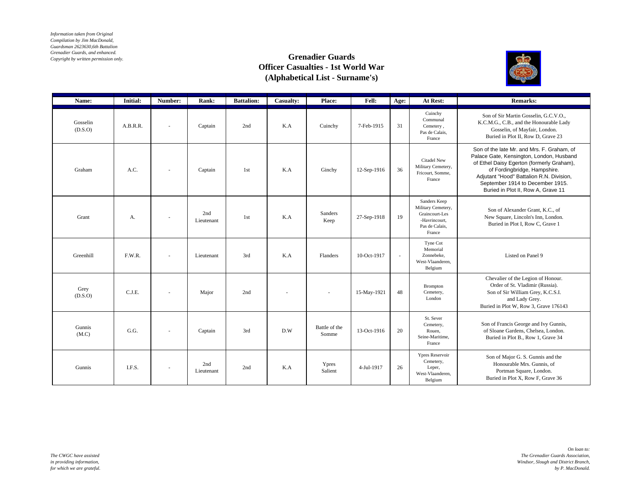*Information taken from Original Compilation by Jim MacDonald, Guardsman 2623630,6th Battalion Grenadier Guards, and enhanced. Copyright by written permission only.*

## **Grenadier Guards Officer Casualties - 1st World War (Alphabetical List - Surname's)**



| Name:               | Initial: | Number:                  | Rank:             | <b>Battalion:</b> | <b>Casualty:</b> | Place:                   | Fell:       | Age:   | At Rest:                                                                                          | <b>Remarks:</b>                                                                                                                                                                                                                                                                           |
|---------------------|----------|--------------------------|-------------------|-------------------|------------------|--------------------------|-------------|--------|---------------------------------------------------------------------------------------------------|-------------------------------------------------------------------------------------------------------------------------------------------------------------------------------------------------------------------------------------------------------------------------------------------|
| Gosselin<br>(D.S.O) | A.B.R.R. |                          | Captain           | 2nd               | K.A              | Cuinchy                  | 7-Feb-1915  | 31     | Cuinchy<br>Communal<br>Cemetery,<br>Pas de Calais,<br>France                                      | Son of Sir Martin Gosselin, G.C.V.O.,<br>K.C.M.G., C.B., and the Honourable Lady<br>Gosselin, of Mayfair, London.<br>Buried in Plot II, Row D, Grave 23                                                                                                                                   |
| Graham              | A.C.     | $\overline{\phantom{a}}$ | Captain           | 1st               | K.A              | Ginchy                   | 12-Sep-1916 | 36     | Citadel New<br>Military Cemetery,<br>Fricourt, Somme,<br>France                                   | Son of the late Mr. and Mrs. F. Graham, of<br>Palace Gate, Kensington, London, Husband<br>of Ethel Daisy Egerton (formerly Graham),<br>of Fordingbridge, Hampshire.<br>Adjutant "Hood" Battalion R.N. Division,<br>September 1914 to December 1915.<br>Buried in Plot II, Row A, Grave 11 |
| Grant               | A.       |                          | 2nd<br>Lieutenant | 1st               | K.A              | Sanders<br>Keep          | 27-Sep-1918 | 19     | Sanders Keep<br>Military Cemetery,<br>Graincourt-Les<br>-Havrincourt,<br>Pas de Calais,<br>France | Son of Alexander Grant, K.C., of<br>New Square, Lincoln's Inn, London.<br>Buried in Plot I, Row C, Grave 1                                                                                                                                                                                |
| Greenhill           | F.W.R.   |                          | Lieutenant        | 3rd               | K.A              | Flanders                 | 10-Oct-1917 | $\sim$ | Tyne Cot<br>Memorial<br>Zonnebeke.<br>West-Vlaanderen,<br>Belgium                                 | Listed on Panel 9                                                                                                                                                                                                                                                                         |
| Grey<br>(D.S.O)     | C.J.E.   |                          | Major             | 2nd               |                  | $\overline{\phantom{a}}$ | 15-May-1921 | 48     | Brompton<br>Cemetery,<br>London                                                                   | Chevalier of the Legion of Honour.<br>Order of St. Vladimir (Russia).<br>Son of Sir William Grey, K.C.S.I.<br>and Lady Grey.<br>Buried in Plot W, Row 3, Grave 176143                                                                                                                     |
| Gunnis<br>(M.C)     | G.G.     |                          | Captain           | 3rd               | D.W              | Battle of the<br>Somme   | 13-Oct-1916 | 20     | St. Sever<br>Cemetery,<br>Rouen,<br>Seine-Maritime.<br>France                                     | Son of Francis George and Ivy Gunnis,<br>of Sloane Gardens, Chelsea, London.<br>Buried in Plot B., Row 1, Grave 34                                                                                                                                                                        |
| Gunnis              | I.F.S.   |                          | 2nd<br>Lieutenant | 2nd               | K.A              | Ypres<br>Salient         | 4-Jul-1917  | 26     | <b>Ypres Reservoir</b><br>Cemetery,<br>Leper,<br>West-Vlaanderen.<br>Belgium                      | Son of Major G. S. Gunnis and the<br>Honourable Mrs. Gunnis, of<br>Portman Square, London.<br>Buried in Plot X, Row F, Grave 36                                                                                                                                                           |